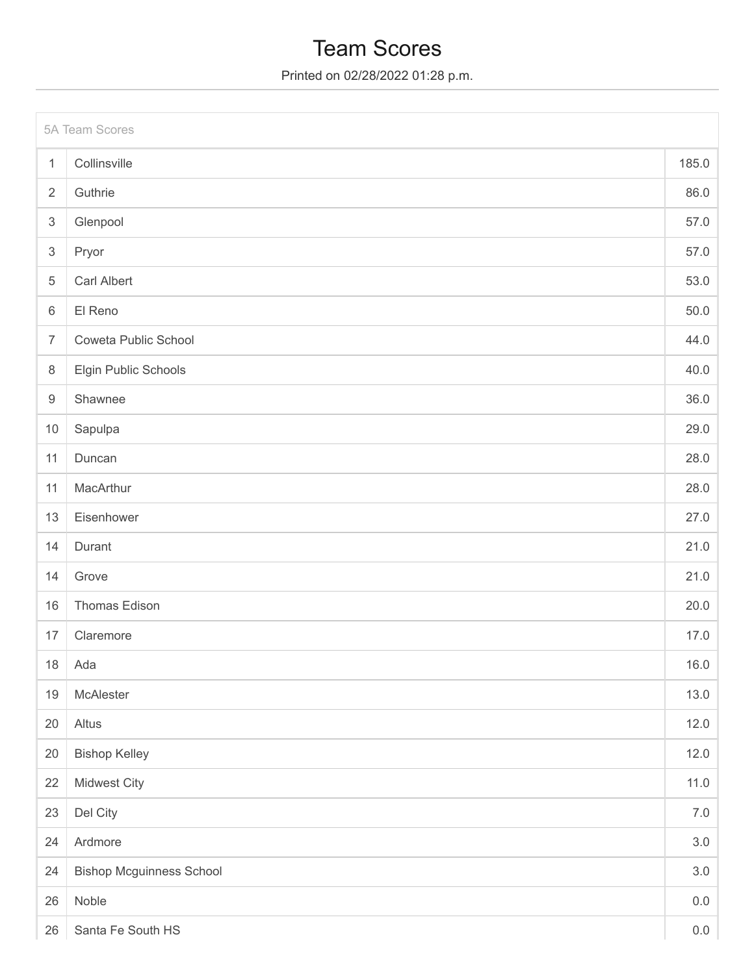### Team Scores

Printed on 02/28/2022 01:28 p.m.

|                           | 5A Team Scores                  |         |  |  |
|---------------------------|---------------------------------|---------|--|--|
| $\mathbf{1}$              | Collinsville                    | 185.0   |  |  |
| $\overline{2}$            | Guthrie                         | 86.0    |  |  |
| $\ensuremath{\mathsf{3}}$ | Glenpool                        | 57.0    |  |  |
| $\ensuremath{\mathsf{3}}$ | Pryor                           | 57.0    |  |  |
| $\,$ 5 $\,$               | <b>Carl Albert</b>              | 53.0    |  |  |
| 6                         | El Reno                         | 50.0    |  |  |
| $\overline{7}$            | Coweta Public School            | 44.0    |  |  |
| 8                         | Elgin Public Schools            | 40.0    |  |  |
| $\hbox{9}$                | Shawnee                         | 36.0    |  |  |
| 10                        | Sapulpa                         | 29.0    |  |  |
| 11                        | Duncan                          | 28.0    |  |  |
| 11                        | MacArthur                       | 28.0    |  |  |
| 13                        | Eisenhower                      | 27.0    |  |  |
| 14                        | Durant                          | 21.0    |  |  |
| 14                        | Grove                           | 21.0    |  |  |
| 16                        | Thomas Edison                   | 20.0    |  |  |
| 17                        | Claremore                       | 17.0    |  |  |
|                           | 18 Ada                          | 16.0    |  |  |
| $19$                      | McAlester                       | 13.0    |  |  |
| 20                        | Altus                           | 12.0    |  |  |
| 20                        | <b>Bishop Kelley</b>            | 12.0    |  |  |
| 22                        | Midwest City                    | 11.0    |  |  |
| 23                        | Del City                        | 7.0     |  |  |
| 24                        | Ardmore                         | 3.0     |  |  |
| 24                        | <b>Bishop Mcguinness School</b> | $3.0\,$ |  |  |
| 26                        | Noble                           | $0.0\,$ |  |  |
| 26                        | Santa Fe South HS               | 0.0     |  |  |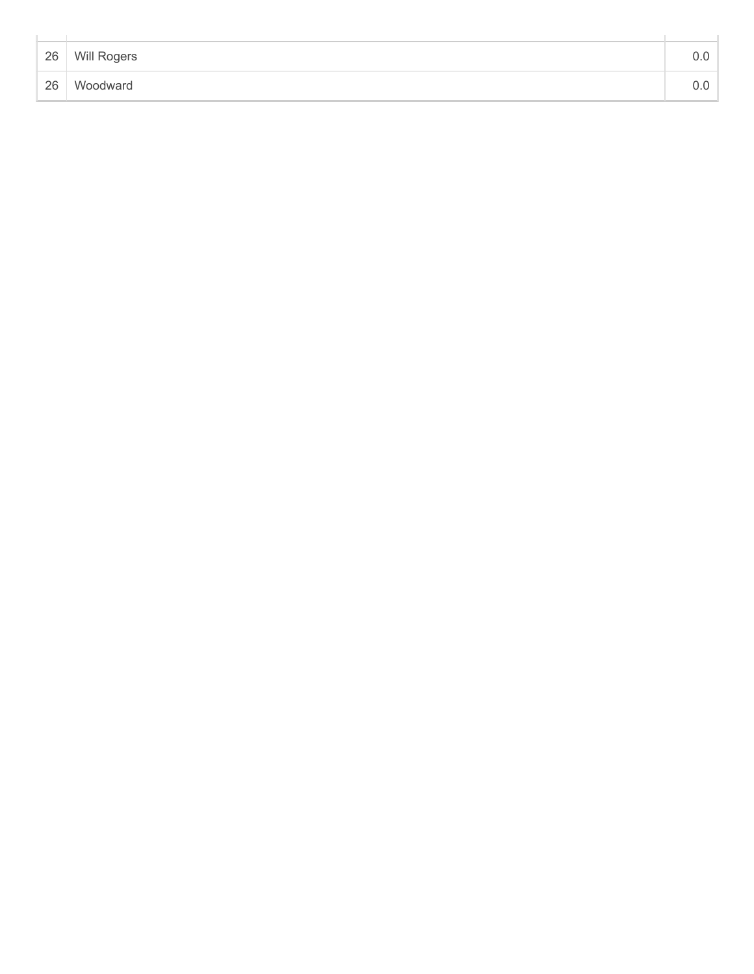| 26 | Will Rogers |  |
|----|-------------|--|
| 26 | Woodward    |  |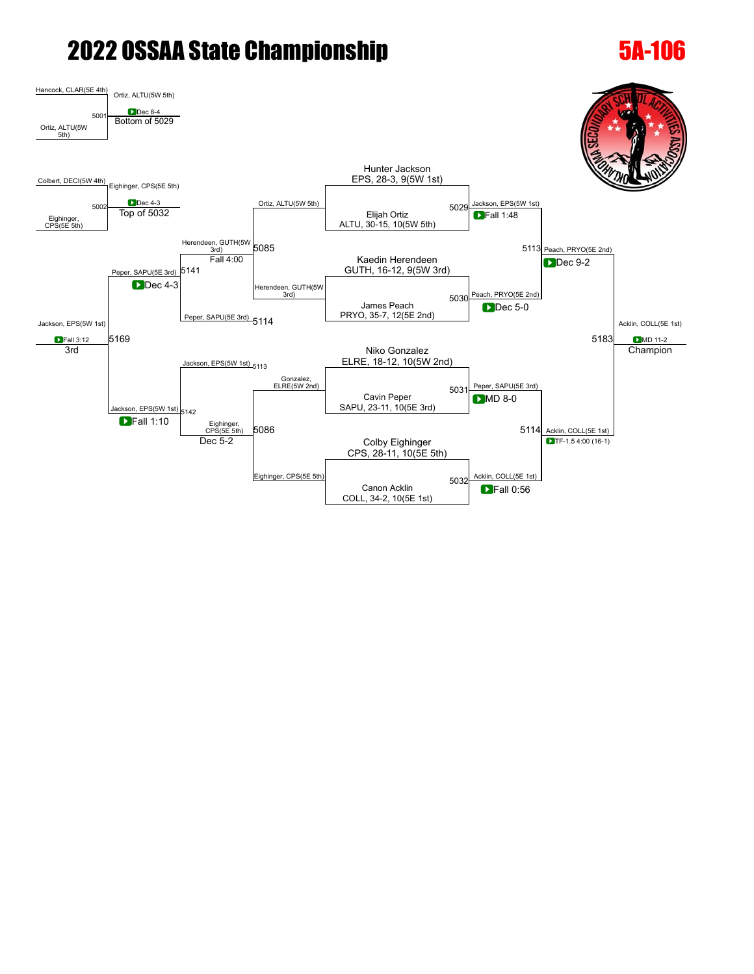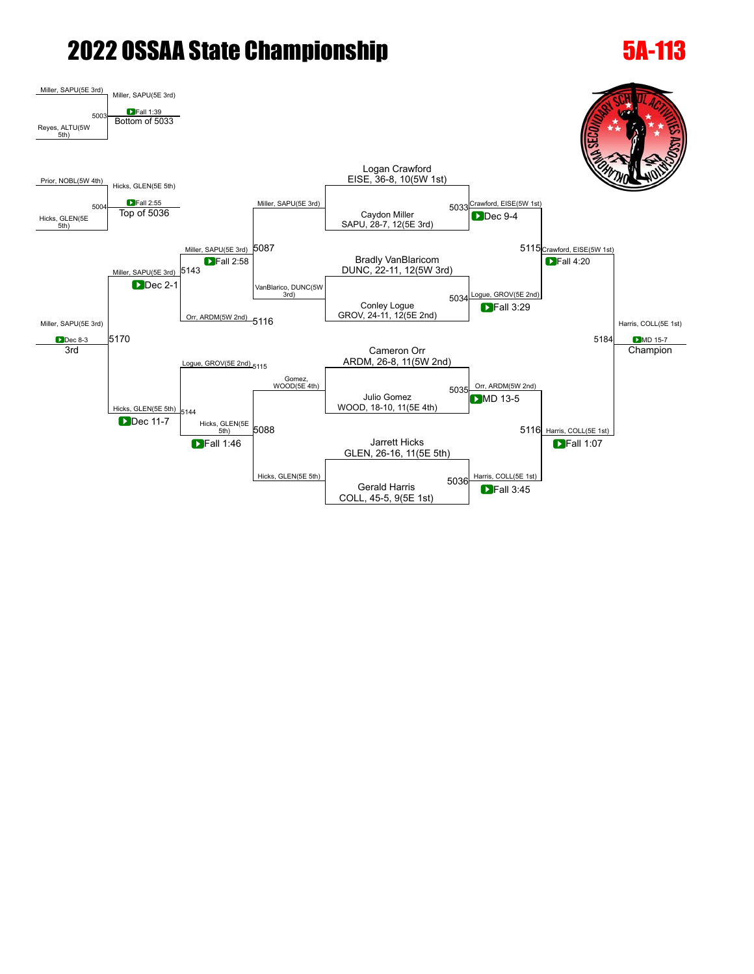### [Miller](javascript:viewProfile(2096467009)), SAPU(5E 3rd) [Miller,](javascript:viewProfile(2096467009)) SAPU(5E 3rd) **D**Fall 1:39 Reyes, ALTU(5W  $5th$ [5003](javascript:openBoutSheet(1,) Bottom of [5033](javascript:openBoutSheet(3,) [Prior,](javascript:viewProfile(790361096)) NOBL(5W 4th) [Hicks](javascript:viewProfile(1836787096)), GLEN(5E 5th) [Miller](javascript:viewProfile(2096467009)), SAPU(5E 3rd) Logan Crawford EISE, 36-8, 10(5W 1st) 5033 Crawford, EISE(5W 1st) [5115](javascript:openBoutSheet(7,) Crawford, EISE(5W 1st) Harris, COLL(5E 1st) **D**MD 15-7 [Hicks](javascript:viewProfile(1836787096)), GLEN(5E 5th) [5004](javascript:openBoutSheet(2,) Caydon [Miller](javascript:viewProfile(2096467009)) SAPU, 28-7, 12(5E 3rd) Top of [5036](javascript:openBoutSheet(6,) [Miller](javascript:viewProfile(2096467009)), SAPU(5E 3rd) [5087](javascript:openBoutSheet(8,) **D**Dec 9-4 [Miller](javascript:viewProfile(2096467009)), SAPU(5E 3rd) **D**Dec 8-3 SAPU(5E 3rd) **D** Fall 2:58 **D** Fall 2:58 **D Bradly VanBlaricom** [5143](javascript:openBoutSheet(11,) DUNC, 22-11, 12(5W 3rd)  $\blacksquare$ Fall 2:58 VanBlarico, DUNC(5W [Logue,](javascript:viewProfile(790012096)) GROV(5E 2nd) **D**Fall 4:20 [5170](javascript:openBoutSheet(14,) [5184](javascript:openBoutSheet(13,) **D**Dec 2-1 [Orr](javascript:viewProfile(205318135)), ARDM(5W 2nd) [5116](javascript:openBoutSheet(9,) Conley [Logue](javascript:viewProfile(790012096)) GROV, 24-11, 12(5E 2nd) [5034](javascript:openBoutSheet(4,) **D**Fall 3:29 [Logue](javascript:viewProfile(790012096)), GROV(5E 2nd) [5115](javascript:openBoutSheet(7,) Cameron [Orr](javascript:viewProfile(205318135)) ARDM, 26-8, 11(5W 2nd) 3rd [Hicks](javascript:viewProfile(1836787096)), GLEN(5E 5th) Gomez,<br>WOOD(5E 4th) [Orr,](javascript:viewProfile(205318135)) ARDM(5W 2nd) [5116](javascript:openBoutSheet(9,) Harris, COLL(5E 1st) **Champion** Julio Gomez WOOD, 18-10, 11(5E 4th) [5035](javascript:openBoutSheet(5,) [5144](javascript:openBoutSheet(12,) [Hicks,](javascript:viewProfile(1836787096)) GLEN(5E  $\frac{5 \text{th}}{5 \text{th}}$  [5088](javascript:openBoutSheet(10,) **D**MD 13-5 **Dec 11-7** Jarrett [Hicks](javascript:viewProfile(1836787096)) GLEN, 26-16, 11(5E 5th)  $\blacksquare$  Fall 1:46  $\blacksquare$   $\blacksquare$   $\blacksquare$   $\blacksquare$  $Hicks$ , GLEN(5E 5th)  $\overline{h}$   $\overline{h}$   $\overline{h}$   $\overline{h}$   $\overline{h}$   $\overline{h}$   $\overline{h}$   $\overline{h}$   $\overline{h}$   $\overline{h}$   $\overline{h}$   $\overline{h}$   $\overline{h}$   $\overline{h}$   $\overline{h}$   $\overline{h}$   $\overline{h}$   $\overline{h}$   $\overline{h}$   $\overline{h}$   $\overline{h}$   $\overline{h}$   $\overline$ **DFall 1:07** Gerald Harris COLL, 45-5, 9(5E 1st) [5036](javascript:openBoutSheet(6,) **D**Fall 3:45  $\blacksquare$  Fall 2:55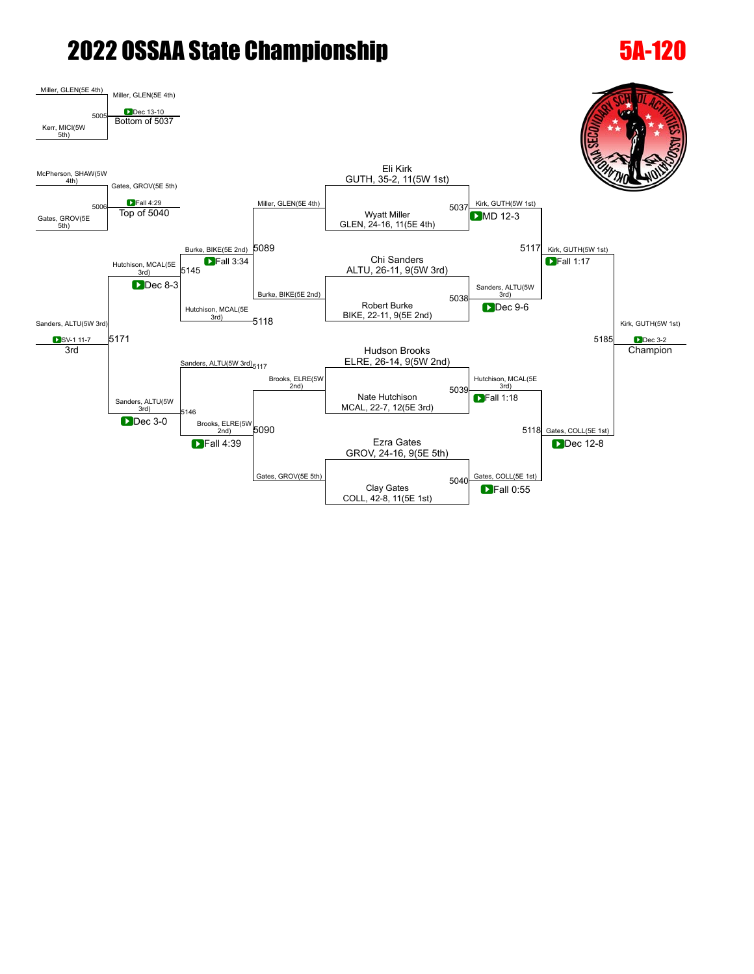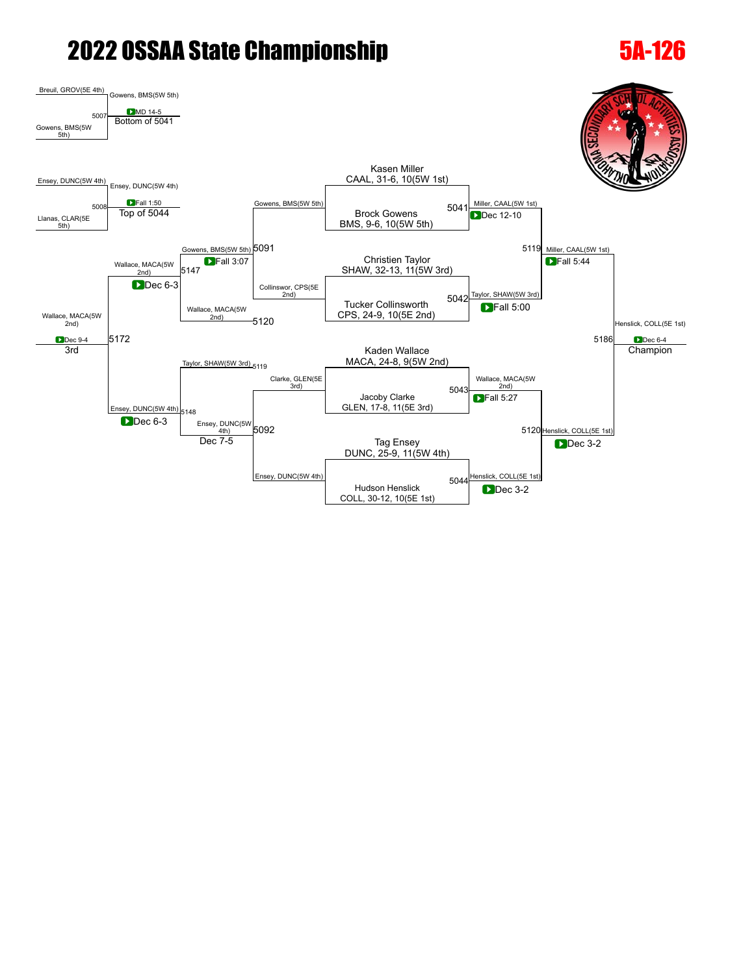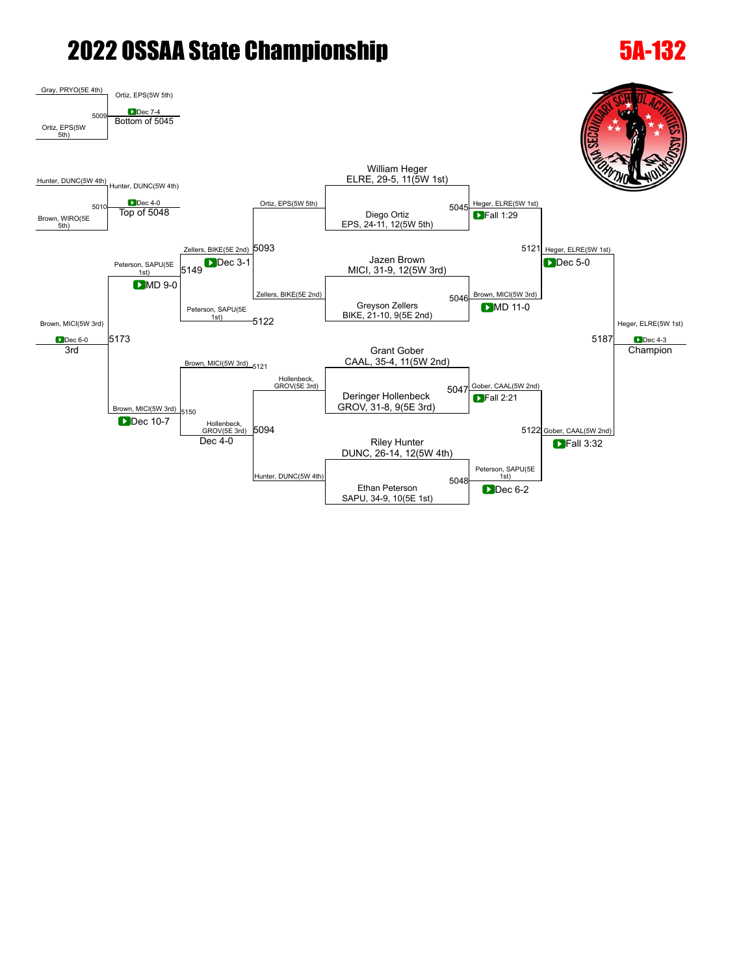### [Gray](javascript:viewProfile(2110450009)), PRYO(5E 4th) [Ortiz](javascript:viewProfile(1832089132)), EPS(5W 5th) **D**Dec 7-4 [Ortiz](javascript:viewProfile(1832089132)), EPS(5W  $5th$ [5009](javascript:openBoutSheet(1,) Bottom of [5045](javascript:openBoutSheet(3,) [Hunter,](javascript:viewProfile(1000314135)) DUNC(5W 4th) [Hunter](javascript:viewProfile(1000314135)), DUNC(5W 4th) [Ortiz,](javascript:viewProfile(1832089132)) EPS(5W 5th) William [Heger](javascript:viewProfile(1438767009)) ELRE, 29-5, 11(5W 1st) [Heger](javascript:viewProfile(1438767009)), ELRE(5W 1st) 5121 [Heger,](javascript:viewProfile(1438767009)) ELRE(5W 1st) [Heger](javascript:viewProfile(1438767009)), ELRE(5W 1st) **D**ec 4-3 Brown, WIRO(5E  $5th)$ [5010](javascript:openBoutSheet(2,) Diego [Ortiz](javascript:viewProfile(1832089132)) EPS, 24-11, 12(5W 5th) **D**Dec 4-0 **CONSECTED SETS ON A CONSECTED SETS ON A CONSECT OF SOLUTION OF SOLUTION** OF SOLUTION OF SOLUTION OF SOLUTION CONSECTED SOLUTION OF SOLUTION OF SOLUTION OF SOLUTION OF SOLUTION OF SOLUTION OF SOLUTION OF SOLUTIO Zellers, BIKE(5E 2nd) [5093](javascript:openBoutSheet(8,) **DFall 1:29** [Brown](javascript:viewProfile(706139096)), MICI(5W 3rd) **D**Dec 6-0 [Peterson,](javascript:viewProfile(2093415009)) SAPU(5E 1st) Jazen [Brown](javascript:viewProfile(706139096)) [5149](javascript:openBoutSheet(11,) MDec 3-1 MICI, 31-9, 12(5W 3rd)<br>5149 MICI, 31-9, 12(5W 3rd) **D**Dec 3-1  $Z$ ellers, BIKE(5E 2nd)  $\begin{array}{c|c}\n\hline\n\end{array}$  [Brown](javascript:viewProfile(706139096)), MICI(5W 3rd) **D**Dec 5-0 [5173](javascript:openBoutSheet(14,) [5187](javascript:openBoutSheet(13,) **D**MD 9-0 [Peterson,](javascript:viewProfile(2093415009)) SAPU(5E 1st) Greyson Zellers BIKE, 21-10, 9(5E 2nd) [5046](javascript:openBoutSheet(4,) [5122](javascript:openBoutSheet(9,) **DMD** 11-0 [Brown,](javascript:viewProfile(706139096)) MICI(5W 3rd) [5121](javascript:openBoutSheet(7,) Grant [Gober](javascript:viewProfile(1836581096)) CAAL, 35-4, 11(5W 2nd) 3rd [Brown](javascript:viewProfile(706139096)), MICI(5W 3rd) [Hollenbeck](javascript:viewProfile(854470096)),<br>GROV(5E 3rd) [Gober](javascript:viewProfile(1836581096)), CAAL(5W 2nd) 5122 [Gober,](javascript:viewProfile(1836581096)) CAAL(5W 2nd) **Champion** Deringer [Hollenbeck](javascript:viewProfile(854470096)) GROV, 31-8, 9(5E 3rd) [5047](javascript:openBoutSheet(5,) [5150](javascript:openBoutSheet(12,) [Hollenbeck](javascript:viewProfile(854470096)), GROV(5E 3rd) [5094](javascript:openBoutSheet(10,) **D**Fall 2:21 **Dec** 10-7 Riley [Hunter](javascript:viewProfile(1000314135)) DUNC, 26-14, 12(5W 4th) Dec 4-0 [Hunter](javascript:viewProfile(1000314135)), DUNC(5W 4th) [Peterson](javascript:viewProfile(2093415009)), SAPU(5E 1st) **D**Fall 3:32 Ethan [Peterson](javascript:viewProfile(2093415009)) SAPU, 34-9, 10(5E 1st) [5048](javascript:openBoutSheet(6,) **D**Dec 6-2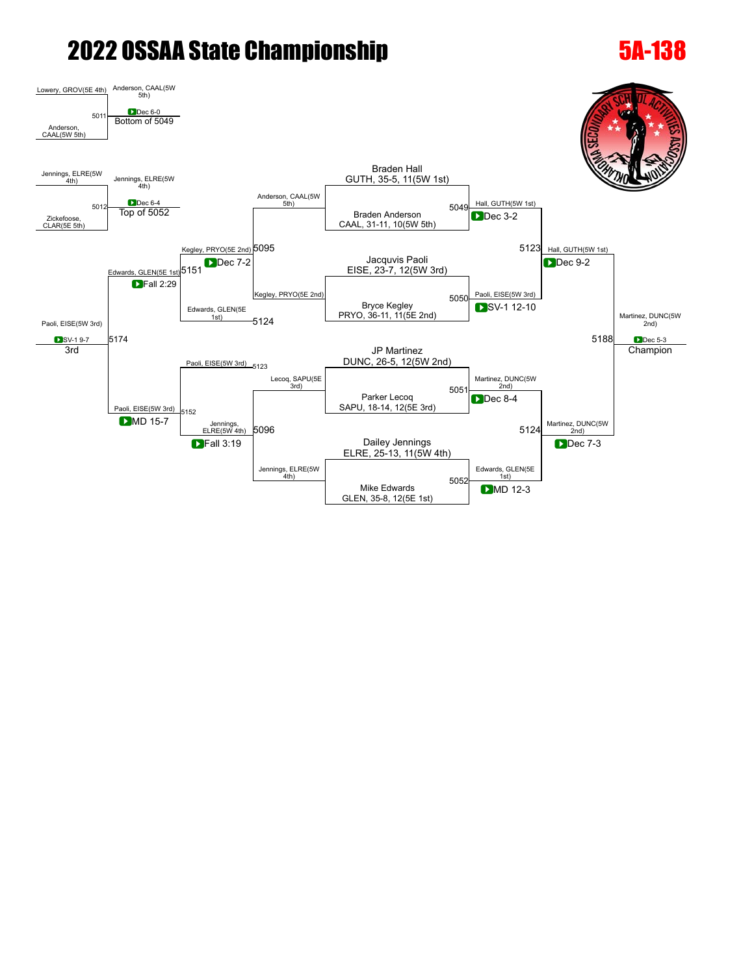### [Lowery,](javascript:viewProfile(476297135)) GROV(5E 4th) Anderson, CAAL(5W<br>5th) [5011](javascript:openBoutSheet(1,) **Bottom of [5049](javascript:openBoutSheet(3,)** Anderson, CAAL(5W 5th) [Jennings](javascript:viewProfile(1891841096)), ELRE(5W  $\frac{4\text{th}}{4\text{th}}$  [Jennings](javascript:viewProfile(1891841096)), ELRE(5W) **D**Dec 6-4 Anderson, CAAL(5W 5th) Braden [Hall](javascript:viewProfile(608558096)) GUTH, 35-5, 11(5W 1st) [Hall,](javascript:viewProfile(608558096)) GUTH(5W 1st)  $5123$  [Hall,](javascript:viewProfile(608558096)) GUTH(5W 1st) [Martinez](javascript:viewProfile(704853135)), DUNC(5W 2nd) **D**Dec 5-3 [Zickefoose](javascript:viewProfile(649181096)), CLAR(5E 5th) [5012](javascript:openBoutSheet(2,) Braden Anderson CAAL, 31-11, 10(5W 5th)  $\begin{array}{|c|c|c|c|c|}\n\hline\n\text{LDEc 6-4} & & & & \text{5049} \\
\hline\n\text{Top of 5052} & & & & \text{Braden Anderson} & \\
\hline\n\end{array}$  $\begin{array}{|c|c|c|c|c|}\n\hline\n\text{LDEc 6-4} & & & & \text{5049} \\
\hline\n\text{Top of 5052} & & & & \text{Braden Anderson} & \\
\hline\n\end{array}$  $\begin{array}{|c|c|c|c|c|}\n\hline\n\text{LDEc 6-4} & & & & \text{5049} \\
\hline\n\text{Top of 5052} & & & & \text{Braden Anderson} & \\
\hline\n\end{array}$  $\begin{array}{|c|c|c|c|c|}\n\hline\n\text{LDEc 6-4} & & & & \text{5049} \\
\hline\n\text{Top of 5052} & & & & \text{Braden Anderson} & \\
\hline\n\end{array}$  $\begin{array}{|c|c|c|c|c|}\n\hline\n\text{LDEc 6-4} & & & & \text{5049} \\
\hline\n\text{Top of 5052} & & & & \text{Braden Anderson} & \\
\hline\n\end{array}$ [Kegley,](javascript:viewProfile(645041096)) PRYO(5E 2nd) [5095](javascript:openBoutSheet(8,) **D**Dec 3-2 Paoli, EISE(5W 3rd) SV-1 9-7 [Edwards](javascript:viewProfile(1190253096)), GLEN(5E 1st) 5151 Jacquvis Paoli [5151](javascript:openBoutSheet(11,) Dec 7-2 *Dec 1-2* Jacquvis Paoli<br>5151 EISE, 23-7, 12(5W 3rd) **Dec 7-2** [Kegley](javascript:viewProfile(645041096)), PRYO(5E 2nd) 2001 2008 2010 2010 2010 5050 2010 5051 2010 5051 2010 5051 2010 5051 2010 5051 2010 5051 2010 5051 2010 5051 2010 5051 2010 5051 2010 5051 2010 5051 2010 5051 2010 5051 2010 5051 2010 5051 2010 5051 2 **D**ec 9-2 [5174](javascript:openBoutSheet(14,) [5188](javascript:openBoutSheet(13,) **D**Fall 2:29 [Edwards](javascript:viewProfile(1190253096)), GLEN(5E 1st) Bryce [Kegley](javascript:viewProfile(645041096)) PRYO, 36-11, 11(5E 2nd) [5050](javascript:openBoutSheet(4,) [5124](javascript:openBoutSheet(9,) SV-1 12-10 Paoli, EISE(5W 3rd) [5123](javascript:openBoutSheet(7,) JP [Martinez](javascript:viewProfile(704853135)) DUNC, 26-5, 12(5W 2nd) 3rd Paoli, EISE(5W 3rd) [Lecoq,](javascript:viewProfile(738494135)) SAPU(5E 3rd) [Martinez,](javascript:viewProfile(704853135)) DUNC(5W 2nd) [Martinez](javascript:viewProfile(704853135)), DUNC(5W  $\frac{2nd}{2}$ **Champion** Parker [Lecoq](javascript:viewProfile(738494135)) SAPU, 18-14, 12(5E 3rd)  $505$ [5152](javascript:openBoutSheet(12,) [Jennings](javascript:viewProfile(1891841096)),<br>ELRE(5W 4th) [5096](javascript:openBoutSheet(10,) **D**Dec 8-4 [5124](javascript:openBoutSheet(9,) **D**MD 15-7 Dailey [Jennings](javascript:viewProfile(1891841096)) ■ Dailey Jennings<br>
ELRE, 25-13, 11(5W 4th) **D**Fall 3:19 [Jennings](javascript:viewProfile(1891841096)), ELRE(5W 4th) [Edwards,](javascript:viewProfile(1190253096)) GLEN(5E 1st) **D**ec 7-3 Mike [Edwards](javascript:viewProfile(1190253096)) GLEN, 35-8, 12(5E 1st) [5052](javascript:openBoutSheet(6,) **D**MD 12-3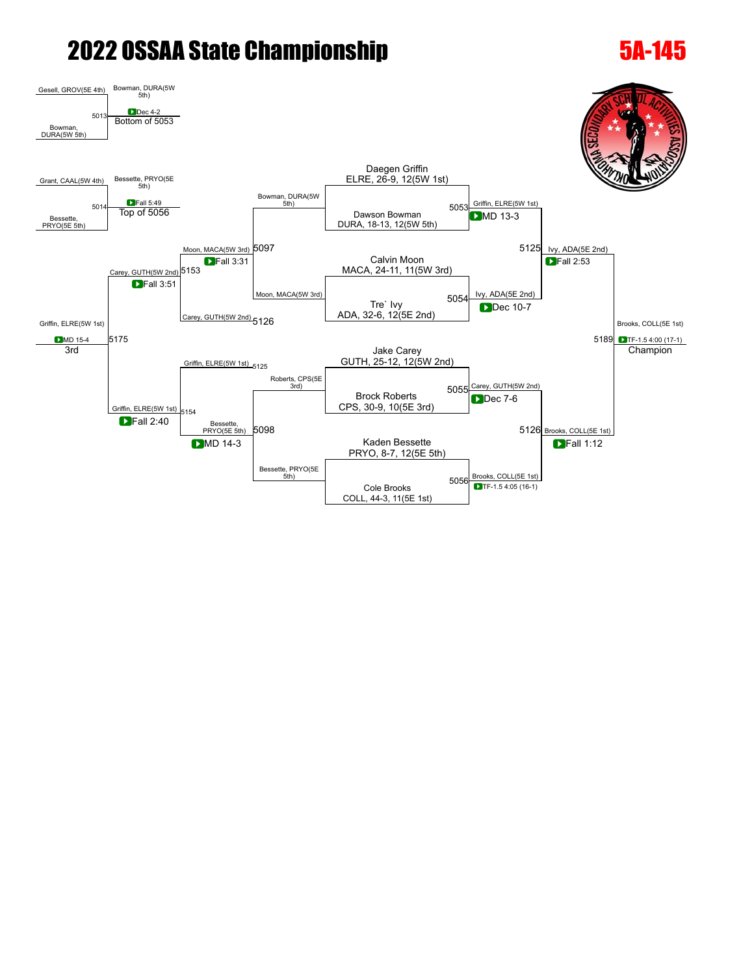### [Gesell,](javascript:viewProfile(271684135)) GROV(5E 4th) [Bowman,](javascript:viewProfile(921462132)) DURA(5W 5th) Dec 4-2 [5013](javascript:openBoutSheet(1,) Bottom of [5053](javascript:openBoutSheet(3,) [Bowman,](javascript:viewProfile(921462132)) DURA(5W 5th) [Grant](javascript:viewProfile(1173977096)), CAAL(5W 4th) [Bessette](javascript:viewProfile(1804004096)), PRYO(5E 5th) **D**Fall 5:49 [Bowman,](javascript:viewProfile(921462132)) DURA(5W 5th) Daegen [Griffin](javascript:viewProfile(1891879096)) ELRE, 26-9, 12(5W 1st) [Griffin,](javascript:viewProfile(1891879096)) ELRE(5W 1st) [5125](javascript:openBoutSheet(7,) lvy, ADA(5E 2nd) [Brooks](javascript:viewProfile(1344870132)), COLL(5E 1st) TF-1.5 4:00 (17-1) [Bessette,](javascript:viewProfile(1804004096)) PRYO(5E 5th) [5014](javascript:openBoutSheet(2,) Top of [5056](javascript:openBoutSheet(6,) **Top of [5053](javascript:openBoutSheet(3,)** DURA, 18-13, 12(5W 5th) [Moon](javascript:viewProfile(951073135)), MACA(5W 3rd) [5097](javascript:openBoutSheet(8,) **D**MD 13-3 [Griffin,](javascript:viewProfile(1891879096)) ELRE(5W 1st) **D**MD 15-4 arey, GUTH(5W 2nd) 5153 Calvin [Moon](javascript:viewProfile(951073135))  $\begin{array}{|c|c|c|}\n \hline\n \text{1} & \text{1} & \text{1} & \text{1} & \text{1} \\
 \hline\n \end{array}$  [5153](javascript:openBoutSheet(11,) MACA, 24-11, 11(5W 3rd) **D**Fall 3:31  $Moon, MACA(5W 3rd)$  $Moon, MACA(5W 3rd)$ **Fall 2:53** [5175](javascript:openBoutSheet(14,) [5189](javascript:openBoutSheet(13,)  $\blacksquare$ Fall 3:51 [Carey,](javascript:viewProfile(1010848132)) GUTH(5W 2nd) [5126](javascript:openBoutSheet(9,) Tre` [Ivy](javascript:viewProfile(361976132)) ADA, 32-6, 12(5E 2nd) [5054](javascript:openBoutSheet(4,) **Dec** 10-7 [Griffin](javascript:viewProfile(1891879096)), ELRE(5W 1st) [5125](javascript:openBoutSheet(7,) Jake [Carey](javascript:viewProfile(1010848132)) GUTH, 25-12, 12(5W 2nd) 3rd [Griffin](javascript:viewProfile(1891879096)), ELRE(5W 1st) [Roberts,](javascript:viewProfile(2144107)) CPS(5E<br>3rd) 3rd) 5055<mark>[Carey](javascript:viewProfile(1010848132)), GUTH(5W 2nd)</mark> 5126 [Brooks](javascript:viewProfile(1344870132)), COLL(5E 1st) **Champion** Brock [Roberts](javascript:viewProfile(2144107)) CPS, 30-9, 10(5E 3rd) [5154](javascript:openBoutSheet(12,) [Bessette](javascript:viewProfile(1804004096)), PRYO(5E 5th) [5098](javascript:openBoutSheet(10,) **D**Dec 7-6 **D**Fall 2:40 **D**MD 14-3 **CONSERVERTY CONSERVERTY CONSERVERTY CONSERVERTY CONSERVERTY CONSERVERTY CONSERVERTY CONSERVERTY CONSERVERTY CONSERVERTY CONSERVERTY CONSERVERTY CONSERVERTY CONSERVERTY CONSERVERTY CONSERVERTY CONSERVERTY CONSER** PRYO, 8-7, 12(5E 5th) **D**MD 14-3 [Bessette](javascript:viewProfile(1804004096)), PRYO(5E<br>5th) [Brooks,](javascript:viewProfile(1344870132)) COLL(5E 1st) **D**Fall 1:12 Cole [Brooks](javascript:viewProfile(1344870132)) COLL, 44-3, 11(5E 1st) [5056](javascript:openBoutSheet(6,) TF-1.5 4:05 (16-1)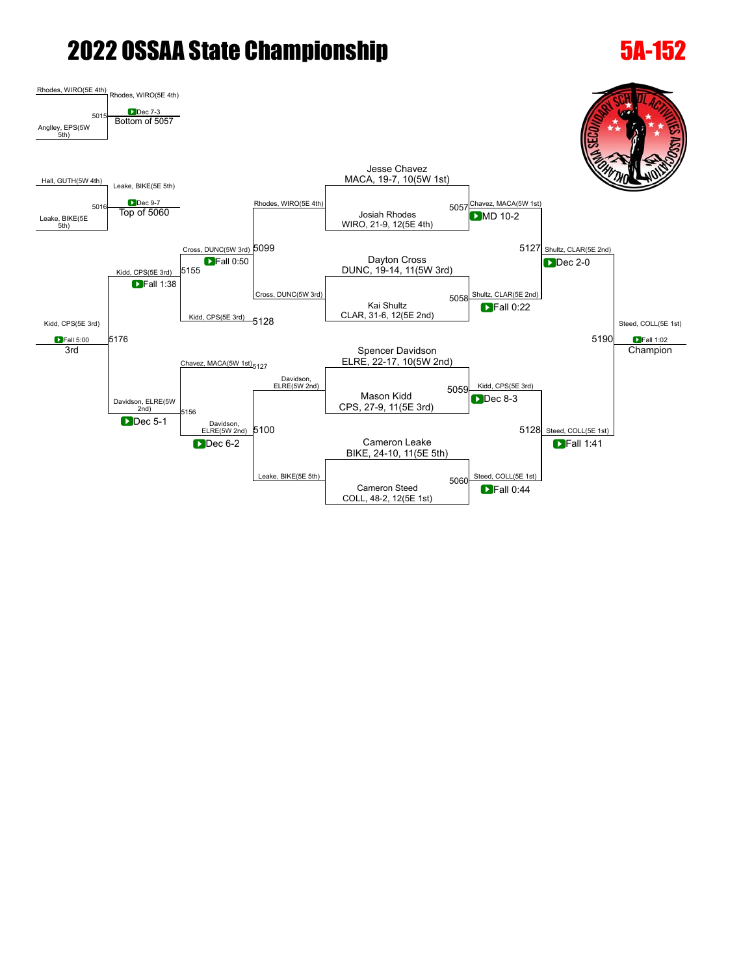### [Rhodes](javascript:viewProfile(738090135)), WIRO(5E 4th) [Rhodes,](javascript:viewProfile(738090135)) WIRO(5E 4th) **D**ec 7-3 [Anglley,](javascript:viewProfile(1217472009)) EPS(5W 5th) [5015](javascript:openBoutSheet(1,) Bottom of [5057](javascript:openBoutSheet(3,) [Hall](javascript:viewProfile(608555096)), GUTH(5W 4th) Leake, BIKE(5E 5th) [Rhodes](javascript:viewProfile(738090135)), WIRO(5E 4th) Jesse Chavez MACA, 19-7, 10(5W 1st) 5057 Chavez, MACA(5W 1st) 5127 [Shultz,](javascript:viewProfile(699617009)) CLAR(5E 2nd) [Steed](javascript:viewProfile(154810009)), COLL(5E 1st) **D**Fall 1:02 Leake, BIKE(5E 5th) [5016](javascript:openBoutSheet(2,) Josiah [Rhodes](javascript:viewProfile(738090135)) WIRO, 21-9, 12(5E 4th) [5057](javascript:openBoutSheet(3,) Top of [5060](javascript:openBoutSheet(6,) [Cross,](javascript:viewProfile(476703135)) DUNC(5W 3rd) [5099](javascript:openBoutSheet(8,) **D**MD 10-2 Kidd, CPS(5E 3rd) **D**Fall 5:00 Kidd, CPS(5E 3rd) Dayton [Cross](javascript:viewProfile(476703135)) [5155](javascript:openBoutSheet(11,) DUNC, 19-14, 11(5W 3rd)  $\Gamma$ Fall 0:50  $\frac{1}{5058}$  [Shultz,](javascript:viewProfile(699617009)) CLAR(5E 2nd) **D**Dec 2-0 [5176](javascript:openBoutSheet(14,) [5190](javascript:openBoutSheet(13,) **DFall 1:38** Kidd, CPS(5E 3rd) [5128](javascript:openBoutSheet(9,) Kai [Shultz](javascript:viewProfile(699617009)) CLAR, 31-6, 12(5E 2nd) [5058](javascript:openBoutSheet(4,) **D**Fall 0:22 Chavez, MACA(5W 1st) [5127](javascript:openBoutSheet(7,) Spencer Davidson ELRE, 22-17, 10(5W 2nd) 3rd Davidson, ELRE(5W 2nd) Davidson,<br>ELRE(5W 2nd) Kidd, CPS(5E 3rd) 5128 [Steed](javascript:viewProfile(154810009)), COLL(5E 1st) **Champion** Mason Kidd CPS, 27-9, 11(5E 3rd) [5059](javascript:openBoutSheet(5,) [5156](javascript:openBoutSheet(12,) Davidson,  $E$ LRE(5W 2nd) [5100](javascript:openBoutSheet(10,) **D**Dec 8-3 **D**Dec 5-1 Dec 6-2 Cameron Leake Cameron Leake BIKE, 24-10, 11(5E 5th) **Dec 6-2** Leake, BIKE(5E 5th) [Steed,](javascript:viewProfile(154810009)) COLL(5E 1st) **DFall 1:41** Cameron [Steed](javascript:viewProfile(154810009)) COLL, 48-2, 12(5E 1st) [5060](javascript:openBoutSheet(6,) **D**Fall 0:44

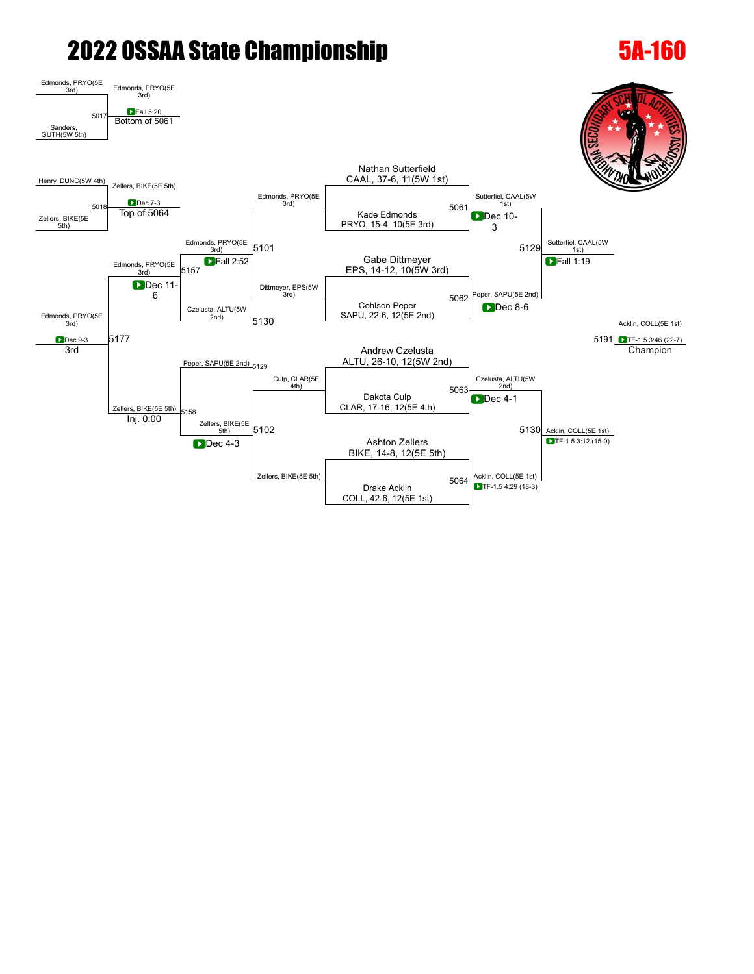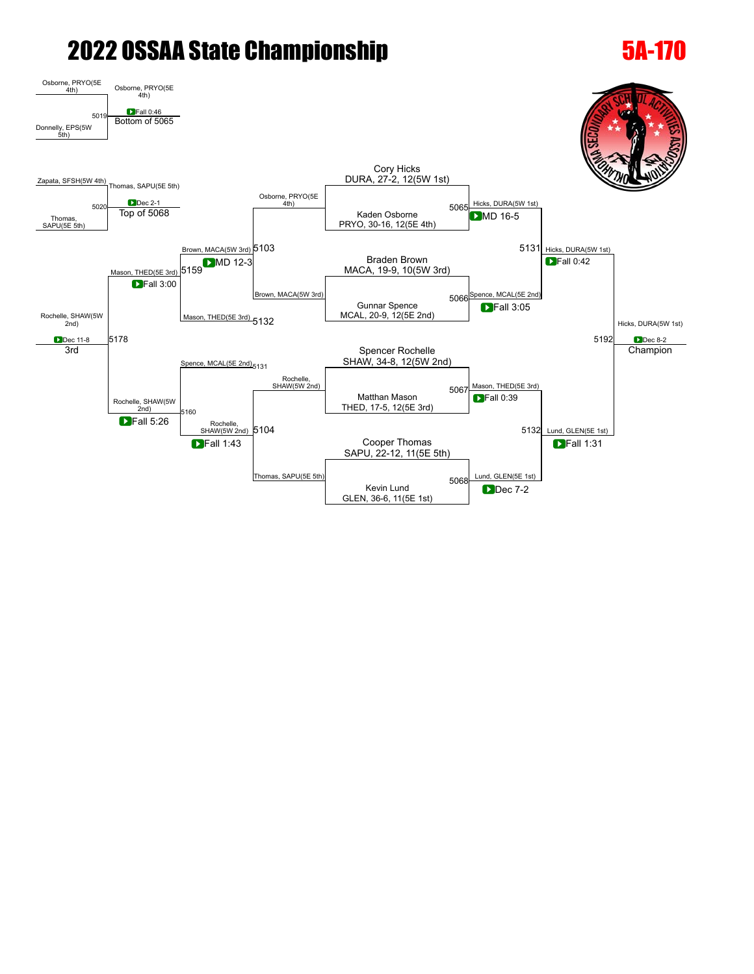### Osborne, PRYO(5E  $\frac{4\text{th}}{4\text{th}}$  Osborne, PRYO(5E **D**Fall 0:46 [Donnelly,](javascript:viewProfile(648469096)) EPS(5W 5th) [5019](javascript:openBoutSheet(1,) Bottom of [5065](javascript:openBoutSheet(3,) [Zapata,](javascript:viewProfile(202701135)) SFSH(5W 4th) [Thomas](javascript:viewProfile(1847083096)), SAPU(5E 5th) <u>Dec 2-1</u><br> [5065](javascript:openBoutSheet(3,) Top of [5068](javascript:openBoutSheet(6,) <del>Final Muller</del> (1th) Contract to the Kaden Osborne 5065 Osborne, PRYO(5E 4th) Cory [Hicks](javascript:viewProfile(1868422009)) DURA, 27-2, 12(5W 1st) [Hicks,](javascript:viewProfile(1868422009)) DURA(5W 1st) 5131 [Hicks,](javascript:viewProfile(1868422009)) DURA(5W 1st) [Hicks](javascript:viewProfile(1868422009)), DURA(5W 1st) **D**Dec 8-2 [Thomas](javascript:viewProfile(1847083096)), SAPU(5E 5th) [5020](javascript:openBoutSheet(2,) Kaden Osborne PRYO, 30-16, 12(5E 4th) [Brown](javascript:viewProfile(543422096)), MACA(5W 3rd) [5103](javascript:openBoutSheet(8,) **DMD** 16-5 [Rochelle](javascript:viewProfile(1836663096)), SHAW(5W 2nd) **Dec 11-8** ason, THED(5E 3rd) Braden [Brown](javascript:viewProfile(543422096)) **OM**D 12-3 Braden Brown<br>[5159](javascript:openBoutSheet(11,) MACA, 19-9, 10(5W 3rd) **D**MD 12-3 [Brown,](javascript:viewProfile(543422096)) MACA(5W 3rd) [Spence](javascript:viewProfile(1191065096)), MCAL(5E 2nd) **Fall 0:42** [5178](javascript:openBoutSheet(14,) [5192](javascript:openBoutSheet(13,) **D**Fall 3:00 Mason, THED(5E 3rd) [5132](javascript:openBoutSheet(9,) Gunnar [Spence](javascript:viewProfile(1191065096)) MCAL, 20-9, 12(5E 2nd)  $5066$ **D**Fall 3:05 [Spence](javascript:viewProfile(1191065096)), MCAL(5E 2nd)<sub>[5131](javascript:openBoutSheet(7,)</sub> Spencer [Rochelle](javascript:viewProfile(1836663096)) SHAW, 34-8, 12(5W 2nd) 3rd [Rochelle,](javascript:viewProfile(1836663096)) SHAW(5W 2nd) [Rochelle](javascript:viewProfile(1836663096)),<br>SHAW(5W 2nd) Mason, THED(5E 3rd) 5132 [Lund,](javascript:viewProfile(756616135)) GLEN(5E 1st) **Champion** Matthan Mason THED, 17-5, 12(5E 3rd) [5067](javascript:openBoutSheet(5,) [5160](javascript:openBoutSheet(12,) [Rochelle](javascript:viewProfile(1836663096)),<br>SHAW(5W 2nd) [5104](javascript:openBoutSheet(10,) **D**Fall 0:39 **D**Fall 5:26 **Cooper [Thomas](javascript:viewProfile(1847083096))** Cooper Thomas and Cooper Thomas and Cooper Thomas and Cooper Thomas and Cooper Thomas and Cooper Thomas and Cooper Thomas and Cooper Thomas and Cooper Thomas and Cooper Thomas and Cooper Thomas and Cooper T SAPU, 22-12, 11(5E 5th) **D**Fall 1:43 [Thomas](javascript:viewProfile(1847083096)), SAPU(5E 5th)  $\begin{array}{c|c}\n & \text{GLEN(5E 1st)}\n\end{array}$ **DFall 1:31** Kevin [Lund](javascript:viewProfile(756616135)) GLEN, 36-6, 11(5E 1st) [5068](javascript:openBoutSheet(6,) **D**Dec 7-2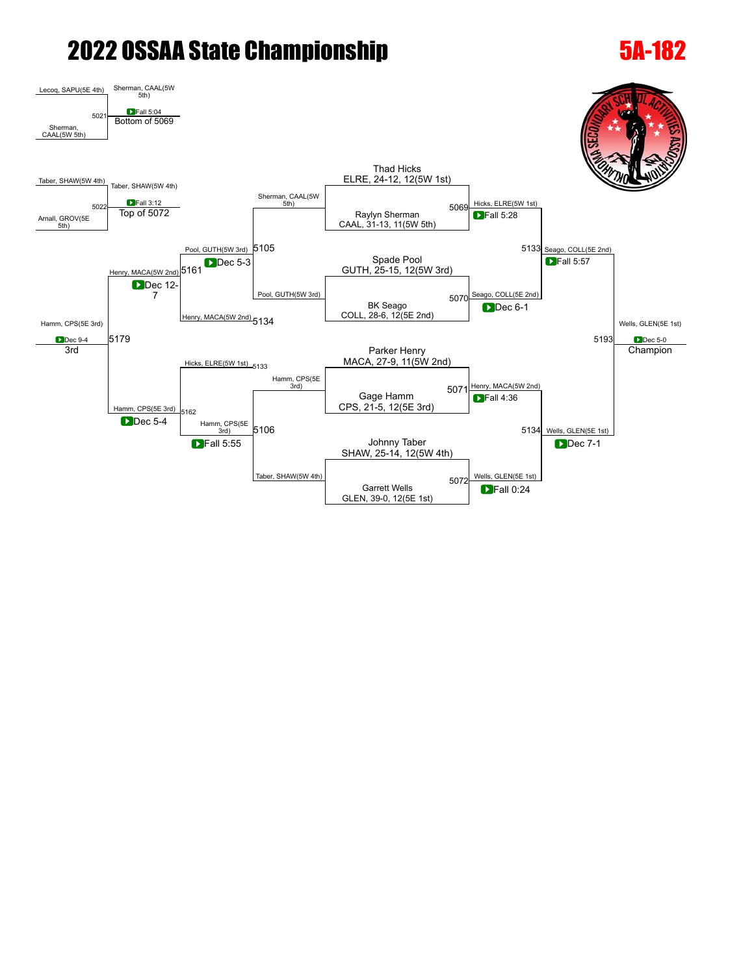### [Lecoq](javascript:viewProfile(1190921096)), SAPU(5E 4th) [Sherman,](javascript:viewProfile(464352135)) CAAL(5W 5th) **D**Fall 5:04 [Sherman](javascript:viewProfile(464352135)), CAAL(5W 5th) [5021](javascript:openBoutSheet(1,) Bottom of [5069](javascript:openBoutSheet(3,) [Taber](javascript:viewProfile(2098477009)), SHAW(5W 4th) [Taber,](javascript:viewProfile(2098477009)) SHAW(5W 4th) **D**Fall 3:12 [Sherman,](javascript:viewProfile(464352135)) CAAL(5W 5th) Thad [Hicks](javascript:viewProfile(362307132)) ELRE, 24-12, 12(5W 1st) [Hicks](javascript:viewProfile(362307132)), ELRE(5W 1st) [5133](javascript:openBoutSheet(7,) Seago, COLL(5E 2nd) Wells, GLEN(5E 1st) **D**Dec 5-0 [Arnall](javascript:viewProfile(246281096)), GROV(5E 5th) [5022](javascript:openBoutSheet(2,) Raylyn [Sherman](javascript:viewProfile(464352135)) CAAL, 31-13, 11(5W 5th)  $\begin{array}{|c|c|c|c|}\n\hline\n\text{J=all 3:12} & \text{3:12} & \text{5:13} \\
\hline\n\text{Top of 5072} & & & & \text{3:14} \\
\hline\n\end{array}$  $\begin{array}{|c|c|c|c|}\n\hline\n\text{J=all 3:12} & \text{3:12} & \text{5:13} \\
\hline\n\text{Top of 5072} & & & & \text{3:14} \\
\hline\n\end{array}$  $\begin{array}{|c|c|c|c|}\n\hline\n\text{J=all 3:12} & \text{3:12} & \text{5:13} \\
\hline\n\text{Top of 5072} & & & & \text{3:14} \\
\hline\n\end{array}$ [Pool](javascript:viewProfile(1549466096)), GUTH(5W 3rd) [5105](javascript:openBoutSheet(8,) **DFall 5:28** [Hamm,](javascript:viewProfile(380598096)) CPS(5E 3rd) **D**Dec 9-4 MACA(5W 2nd) Spade [Pool](javascript:viewProfile(1549466096)) [5161](javascript:openBoutSheet(11,) BDec 5-3 Spade Pool<br>5161 GUTH, 25-15, 12(5W 3rd) **Dec 5-3** [Pool](javascript:viewProfile(1549466096)), GUTH(5W 3rd) Seago, COLL(5E 2nd) **Fall 5:57** [5179](javascript:openBoutSheet(14,) [5193](javascript:openBoutSheet(13,) **D**Dec 12-7 [Henry,](javascript:viewProfile(851917135)) MACA(5W 2nd) [5134](javascript:openBoutSheet(9,) BK Seago COLL, 28-6, 12(5E 2nd) [5070](javascript:openBoutSheet(4,) **D**Dec 6-1 [Hicks](javascript:viewProfile(362307132)), ELRE(5W 1st) [5133](javascript:openBoutSheet(7,) Parker [Henry](javascript:viewProfile(851917135)) MACA, 27-9, 11(5W 2nd) 3rd [Hamm](javascript:viewProfile(380598096)), CPS(5E 3rd) [Hamm](javascript:viewProfile(380598096)), CPS(5E<br>3rd) [Henry](javascript:viewProfile(851917135)), MACA(5W 2nd) Wells, GLEN(5E 1st) [5134](javascript:openBoutSheet(9,) **Champion** Gage [Hamm](javascript:viewProfile(380598096)) CPS, 21-5, 12(5E 3rd) [5071](javascript:openBoutSheet(5,) [5162](javascript:openBoutSheet(12,) [Hamm,](javascript:viewProfile(380598096)) CPS(5E<br>3rd) [5106](javascript:openBoutSheet(10,) **D**Fall 4:36 **D**Dec 5-4 Johnny [Taber](javascript:viewProfile(2098477009)) SHAW, 25-14, 12(5W 4th)<br>SHAW, 25-14, 12(5W 4th) **Fall 5:55** [Taber,](javascript:viewProfile(2098477009)) SHAW(5W 4th)  $5072$  Wells, GLEN(5E 1st) **D**Dec 7-1 Garrett Wells GLEN, 39-0, 12(5E 1st) [5072](javascript:openBoutSheet(6,) **D**Fall 0:24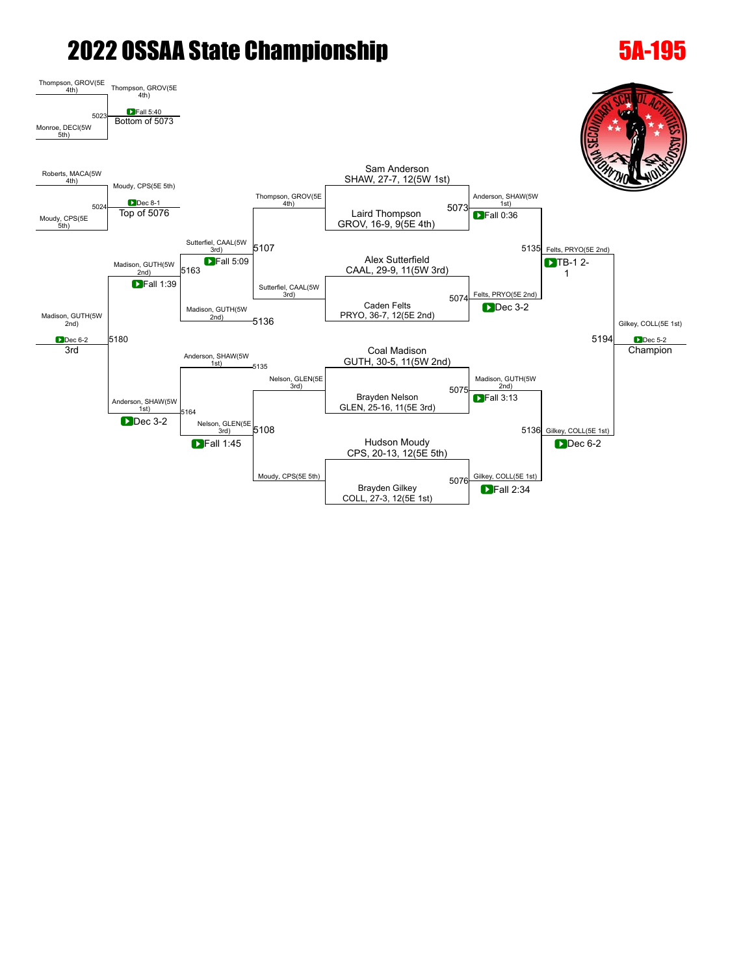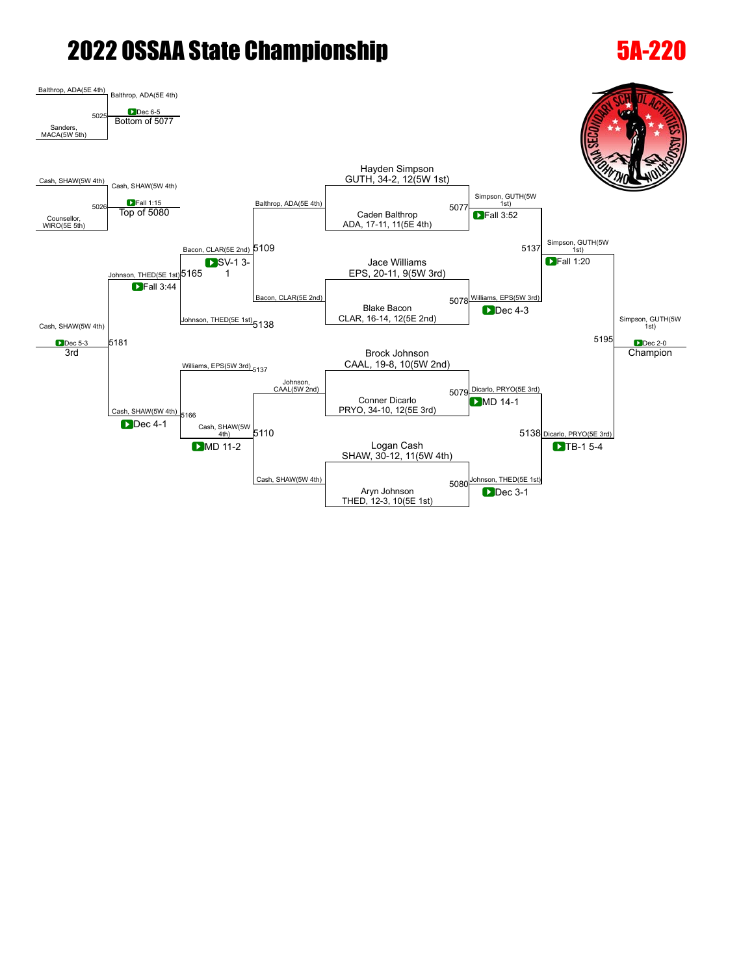